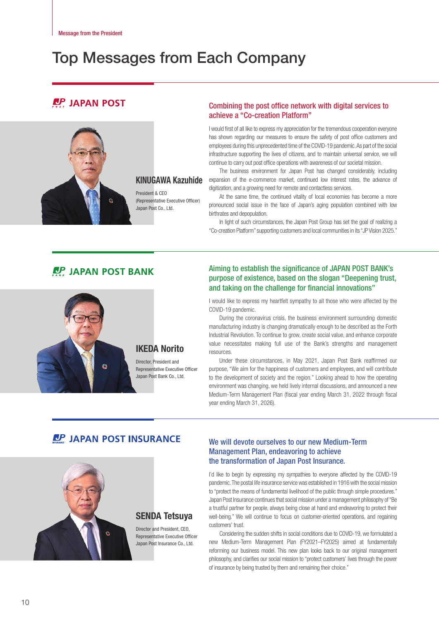# Top Messages from Each Company

# **IDP** JAPAN POST



### KINUGAWA Kazuhide

President & CEO (Representative Executive Officer) Japan Post Co., Ltd.

### Combining the post office network with digital services to achieve a "Co-creation Platform"

I would first of all like to express my appreciation for the tremendous cooperation everyone has shown regarding our measures to ensure the safety of post office customers and employees during this unprecedented time of the COVID-19 pandemic. As part of the social infrastructure supporting the lives of citizens, and to maintain universal service, we will continue to carry out post office operations with awareness of our societal mission.

The business environment for Japan Post has changed considerably, including expansion of the e-commerce market, continued low interest rates, the advance of digitization, and a growing need for remote and contactless services.

At the same time, the continued vitality of local economies has become a more pronounced social issue in the face of Japan's aging population combined with low birthrates and depopulation.

In light of such circumstances, the Japan Post Group has set the goal of realizing a "Co-creation Platform" supporting customers and local communities in its "JP Vision 2025."

# **CP JAPAN POST BANK**



Representative Executive Officer Japan Post Bank Co., Ltd.

### Aiming to establish the significance of JAPAN POST BANK's purpose of existence, based on the slogan "Deepening trust, and taking on the challenge for financial innovations"

I would like to express my heartfelt sympathy to all those who were affected by the COVID-19 pandemic.

During the coronavirus crisis, the business environment surrounding domestic manufacturing industry is changing dramatically enough to be described as the Forth Industrial Revolution. To continue to grow, create social value, and enhance corporate value necessitates making full use of the Bank's strengths and management resources.

Under these circumstances, in May 2021, Japan Post Bank reaffirmed our purpose, "We aim for the happiness of customers and employees, and will contribute to the development of society and the region." Looking ahead to how the operating environment was changing, we held lively internal discussions, and announced a new Medium-Term Management Plan (fiscal year ending March 31, 2022 through fiscal year ending March 31, 2026).

# **LP JAPAN POST INSURANCE**



# SENDA Tetsuya

Director and President, CEO Representative Executive Officer Japan Post Insurance Co., Ltd.

### We will devote ourselves to our new Medium-Term Management Plan, endeavoring to achieve the transformation of Japan Post Insurance.

I'd like to begin by expressing my sympathies to everyone affected by the COVID-19 pandemic. The postal life insurance service was established in 1916 with the social mission to "protect the means of fundamental livelihood of the public through simple procedures." Japan Post Insurance continues that social mission under a management philosophy of "Be a trustful partner for people, always being close at hand and endeavoring to protect their well-being." We will continue to focus on customer-oriented operations, and regaining customers' trust.

Considering the sudden shifts in social conditions due to COVID-19, we formulated a new Medium-Term Management Plan (FY2021–FY2025) aimed at fundamentally reforming our business model. This new plan looks back to our original management philosophy, and clarifies our social mission to "protect customers' lives through the power of insurance by being trusted by them and remaining their choice."